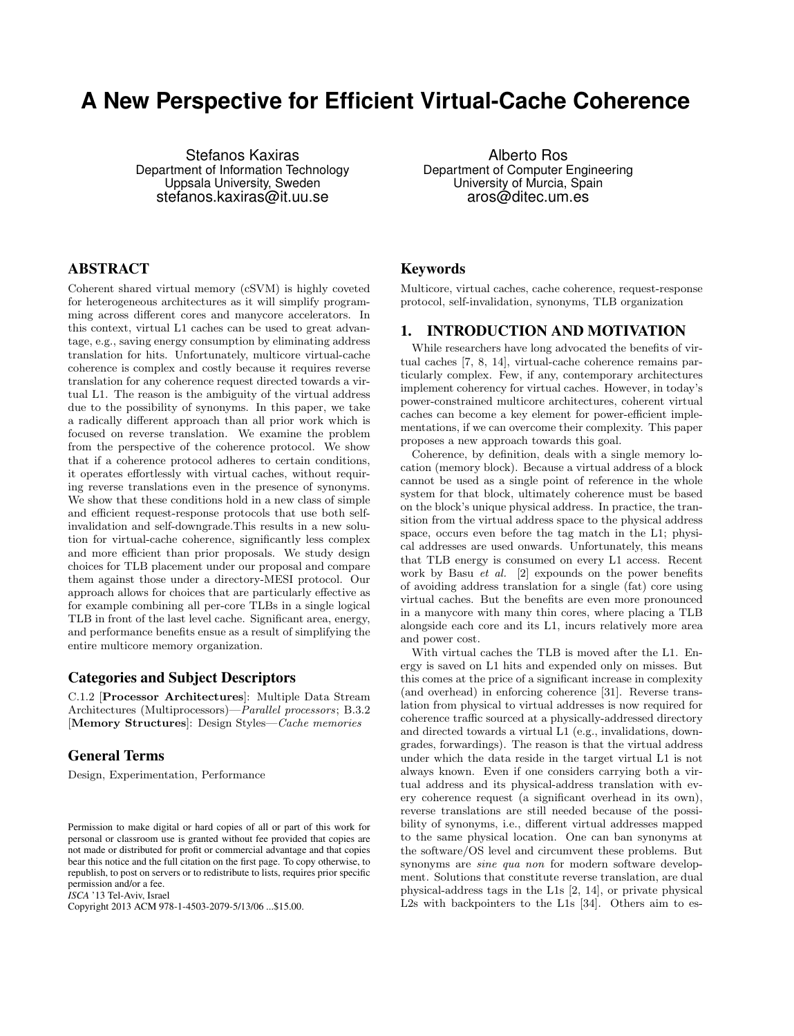# **A New Perspective for Efficient Virtual-Cache Coherence**

Stefanos Kaxiras Department of Information Technology Uppsala University, Sweden stefanos.kaxiras@it.uu.se

Alberto Ros Department of Computer Engineering University of Murcia, Spain aros@ditec.um.es

# ABSTRACT

Coherent shared virtual memory (cSVM) is highly coveted for heterogeneous architectures as it will simplify programming across different cores and manycore accelerators. In this context, virtual L1 caches can be used to great advantage, e.g., saving energy consumption by eliminating address translation for hits. Unfortunately, multicore virtual-cache coherence is complex and costly because it requires reverse translation for any coherence request directed towards a virtual L1. The reason is the ambiguity of the virtual address due to the possibility of synonyms. In this paper, we take a radically different approach than all prior work which is focused on reverse translation. We examine the problem from the perspective of the coherence protocol. We show that if a coherence protocol adheres to certain conditions, it operates effortlessly with virtual caches, without requiring reverse translations even in the presence of synonyms. We show that these conditions hold in a new class of simple and efficient request-response protocols that use both selfinvalidation and self-downgrade.This results in a new solution for virtual-cache coherence, significantly less complex and more efficient than prior proposals. We study design choices for TLB placement under our proposal and compare them against those under a directory-MESI protocol. Our approach allows for choices that are particularly effective as for example combining all per-core TLBs in a single logical TLB in front of the last level cache. Significant area, energy, and performance benefits ensue as a result of simplifying the entire multicore memory organization.

# Categories and Subject Descriptors

C.1.2 [Processor Architectures]: Multiple Data Stream Architectures (Multiprocessors)—Parallel processors; B.3.2 [Memory Structures]: Design Styles—Cache memories

# General Terms

Design, Experimentation, Performance

*ISCA* '13 Tel-Aviv, Israel

Copyright 2013 ACM 978-1-4503-2079-5/13/06 ...\$15.00.

# **Keywords**

Multicore, virtual caches, cache coherence, request-response protocol, self-invalidation, synonyms, TLB organization

### 1. INTRODUCTION AND MOTIVATION

While researchers have long advocated the benefits of virtual caches [7, 8, 14], virtual-cache coherence remains particularly complex. Few, if any, contemporary architectures implement coherency for virtual caches. However, in today's power-constrained multicore architectures, coherent virtual caches can become a key element for power-efficient implementations, if we can overcome their complexity. This paper proposes a new approach towards this goal.

Coherence, by definition, deals with a single memory location (memory block). Because a virtual address of a block cannot be used as a single point of reference in the whole system for that block, ultimately coherence must be based on the block's unique physical address. In practice, the transition from the virtual address space to the physical address space, occurs even before the tag match in the L1; physical addresses are used onwards. Unfortunately, this means that TLB energy is consumed on every L1 access. Recent work by Basu et al. [2] expounds on the power benefits of avoiding address translation for a single (fat) core using virtual caches. But the benefits are even more pronounced in a manycore with many thin cores, where placing a TLB alongside each core and its L1, incurs relatively more area and power cost.

With virtual caches the TLB is moved after the L1. Energy is saved on L1 hits and expended only on misses. But this comes at the price of a significant increase in complexity (and overhead) in enforcing coherence [31]. Reverse translation from physical to virtual addresses is now required for coherence traffic sourced at a physically-addressed directory and directed towards a virtual L1 (e.g., invalidations, downgrades, forwardings). The reason is that the virtual address under which the data reside in the target virtual L1 is not always known. Even if one considers carrying both a virtual address and its physical-address translation with every coherence request (a significant overhead in its own), reverse translations are still needed because of the possibility of synonyms, i.e., different virtual addresses mapped to the same physical location. One can ban synonyms at the software/OS level and circumvent these problems. But synonyms are *sine qua non* for modern software development. Solutions that constitute reverse translation, are dual physical-address tags in the L1s [2, 14], or private physical L2s with backpointers to the L1s [34]. Others aim to es-

Permission to make digital or hard copies of all or part of this work for personal or classroom use is granted without fee provided that copies are not made or distributed for profit or commercial advantage and that copies bear this notice and the full citation on the first page. To copy otherwise, to republish, to post on servers or to redistribute to lists, requires prior specific permission and/or a fee.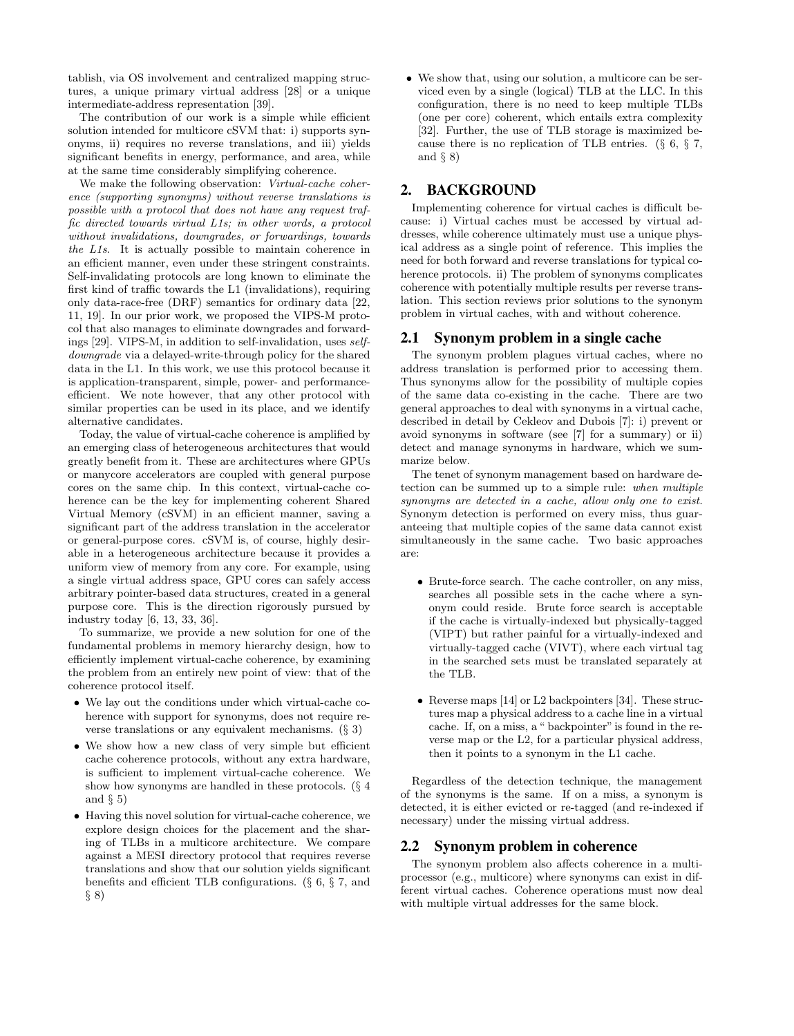tablish, via OS involvement and centralized mapping structures, a unique primary virtual address [28] or a unique intermediate-address representation [39].

The contribution of our work is a simple while efficient solution intended for multicore cSVM that: i) supports synonyms, ii) requires no reverse translations, and iii) yields significant benefits in energy, performance, and area, while at the same time considerably simplifying coherence.

We make the following observation: Virtual-cache coherence (supporting synonyms) without reverse translations is possible with a protocol that does not have any request traffic directed towards virtual L1s; in other words, a protocol without invalidations, downgrades, or forwardings, towards the L1s. It is actually possible to maintain coherence in an efficient manner, even under these stringent constraints. Self-invalidating protocols are long known to eliminate the first kind of traffic towards the L1 (invalidations), requiring only data-race-free (DRF) semantics for ordinary data [22, 11, 19]. In our prior work, we proposed the VIPS-M protocol that also manages to eliminate downgrades and forwardings [29]. VIPS-M, in addition to self-invalidation, uses selfdowngrade via a delayed-write-through policy for the shared data in the L1. In this work, we use this protocol because it is application-transparent, simple, power- and performanceefficient. We note however, that any other protocol with similar properties can be used in its place, and we identify alternative candidates.

Today, the value of virtual-cache coherence is amplified by an emerging class of heterogeneous architectures that would greatly benefit from it. These are architectures where GPUs or manycore accelerators are coupled with general purpose cores on the same chip. In this context, virtual-cache coherence can be the key for implementing coherent Shared Virtual Memory (cSVM) in an efficient manner, saving a significant part of the address translation in the accelerator or general-purpose cores. cSVM is, of course, highly desirable in a heterogeneous architecture because it provides a uniform view of memory from any core. For example, using a single virtual address space, GPU cores can safely access arbitrary pointer-based data structures, created in a general purpose core. This is the direction rigorously pursued by industry today [6, 13, 33, 36].

To summarize, we provide a new solution for one of the fundamental problems in memory hierarchy design, how to efficiently implement virtual-cache coherence, by examining the problem from an entirely new point of view: that of the coherence protocol itself.

- We lay out the conditions under which virtual-cache coherence with support for synonyms, does not require reverse translations or any equivalent mechanisms. (§ 3)
- We show how a new class of very simple but efficient cache coherence protocols, without any extra hardware, is sufficient to implement virtual-cache coherence. We show how synonyms are handled in these protocols. (§ 4 and  $\S$  5)
- Having this novel solution for virtual-cache coherence, we explore design choices for the placement and the sharing of TLBs in a multicore architecture. We compare against a MESI directory protocol that requires reverse translations and show that our solution yields significant benefits and efficient TLB configurations. (§ 6, § 7, and § 8)

• We show that, using our solution, a multicore can be serviced even by a single (logical) TLB at the LLC. In this configuration, there is no need to keep multiple TLBs (one per core) coherent, which entails extra complexity [32]. Further, the use of TLB storage is maximized because there is no replication of TLB entries. (§ 6, § 7, and  $\S$  8)

# 2. BACKGROUND

Implementing coherence for virtual caches is difficult because: i) Virtual caches must be accessed by virtual addresses, while coherence ultimately must use a unique physical address as a single point of reference. This implies the need for both forward and reverse translations for typical coherence protocols. ii) The problem of synonyms complicates coherence with potentially multiple results per reverse translation. This section reviews prior solutions to the synonym problem in virtual caches, with and without coherence.

### 2.1 Synonym problem in a single cache

The synonym problem plagues virtual caches, where no address translation is performed prior to accessing them. Thus synonyms allow for the possibility of multiple copies of the same data co-existing in the cache. There are two general approaches to deal with synonyms in a virtual cache, described in detail by Cekleov and Dubois [7]: i) prevent or avoid synonyms in software (see [7] for a summary) or ii) detect and manage synonyms in hardware, which we summarize below.

The tenet of synonym management based on hardware detection can be summed up to a simple rule: when multiple synonyms are detected in a cache, allow only one to exist. Synonym detection is performed on every miss, thus guaranteeing that multiple copies of the same data cannot exist simultaneously in the same cache. Two basic approaches are:

- Brute-force search. The cache controller, on any miss, searches all possible sets in the cache where a synonym could reside. Brute force search is acceptable if the cache is virtually-indexed but physically-tagged (VIPT) but rather painful for a virtually-indexed and virtually-tagged cache (VIVT), where each virtual tag in the searched sets must be translated separately at the TLB.
- Reverse maps [14] or L2 backpointers [34]. These structures map a physical address to a cache line in a virtual cache. If, on a miss, a " backpointer" is found in the reverse map or the L2, for a particular physical address, then it points to a synonym in the L1 cache.

Regardless of the detection technique, the management of the synonyms is the same. If on a miss, a synonym is detected, it is either evicted or re-tagged (and re-indexed if necessary) under the missing virtual address.

# 2.2 Synonym problem in coherence

The synonym problem also affects coherence in a multiprocessor (e.g., multicore) where synonyms can exist in different virtual caches. Coherence operations must now deal with multiple virtual addresses for the same block.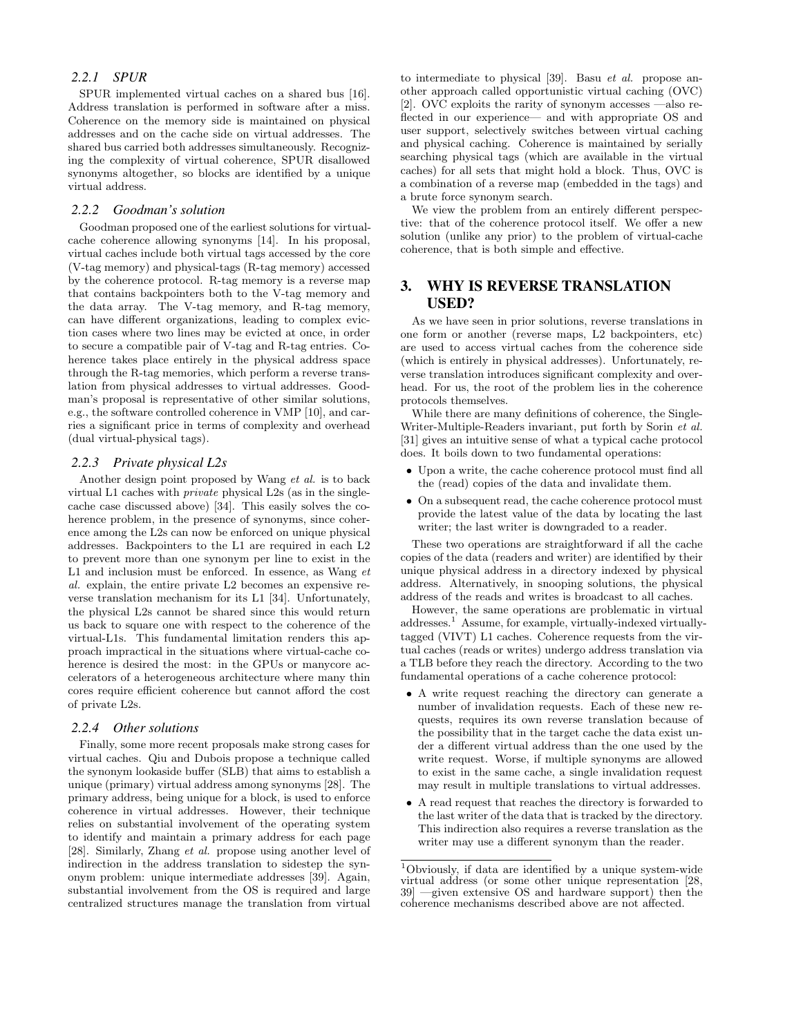# *2.2.1 SPUR*

SPUR implemented virtual caches on a shared bus [16]. Address translation is performed in software after a miss. Coherence on the memory side is maintained on physical addresses and on the cache side on virtual addresses. The shared bus carried both addresses simultaneously. Recognizing the complexity of virtual coherence, SPUR disallowed synonyms altogether, so blocks are identified by a unique virtual address.

#### *2.2.2 Goodman's solution*

Goodman proposed one of the earliest solutions for virtualcache coherence allowing synonyms [14]. In his proposal, virtual caches include both virtual tags accessed by the core (V-tag memory) and physical-tags (R-tag memory) accessed by the coherence protocol. R-tag memory is a reverse map that contains backpointers both to the V-tag memory and the data array. The V-tag memory, and R-tag memory, can have different organizations, leading to complex eviction cases where two lines may be evicted at once, in order to secure a compatible pair of V-tag and R-tag entries. Coherence takes place entirely in the physical address space through the R-tag memories, which perform a reverse translation from physical addresses to virtual addresses. Goodman's proposal is representative of other similar solutions, e.g., the software controlled coherence in VMP [10], and carries a significant price in terms of complexity and overhead (dual virtual-physical tags).

#### *2.2.3 Private physical L2s*

Another design point proposed by Wang et al. is to back virtual L1 caches with private physical L2s (as in the singlecache case discussed above) [34]. This easily solves the coherence problem, in the presence of synonyms, since coherence among the L2s can now be enforced on unique physical addresses. Backpointers to the L1 are required in each L2 to prevent more than one synonym per line to exist in the L1 and inclusion must be enforced. In essence, as Wang et al. explain, the entire private L2 becomes an expensive reverse translation mechanism for its L1 [34]. Unfortunately, the physical L2s cannot be shared since this would return us back to square one with respect to the coherence of the virtual-L1s. This fundamental limitation renders this approach impractical in the situations where virtual-cache coherence is desired the most: in the GPUs or manycore accelerators of a heterogeneous architecture where many thin cores require efficient coherence but cannot afford the cost of private L2s.

### *2.2.4 Other solutions*

Finally, some more recent proposals make strong cases for virtual caches. Qiu and Dubois propose a technique called the synonym lookaside buffer (SLB) that aims to establish a unique (primary) virtual address among synonyms [28]. The primary address, being unique for a block, is used to enforce coherence in virtual addresses. However, their technique relies on substantial involvement of the operating system to identify and maintain a primary address for each page [28]. Similarly, Zhang et al. propose using another level of indirection in the address translation to sidestep the synonym problem: unique intermediate addresses [39]. Again, substantial involvement from the OS is required and large centralized structures manage the translation from virtual to intermediate to physical [39]. Basu et al. propose another approach called opportunistic virtual caching (OVC) [2]. OVC exploits the rarity of synonym accesses —also reflected in our experience— and with appropriate OS and user support, selectively switches between virtual caching and physical caching. Coherence is maintained by serially searching physical tags (which are available in the virtual caches) for all sets that might hold a block. Thus, OVC is a combination of a reverse map (embedded in the tags) and a brute force synonym search.

We view the problem from an entirely different perspective: that of the coherence protocol itself. We offer a new solution (unlike any prior) to the problem of virtual-cache coherence, that is both simple and effective.

# 3. WHY IS REVERSE TRANSLATION USED?

As we have seen in prior solutions, reverse translations in one form or another (reverse maps, L2 backpointers, etc) are used to access virtual caches from the coherence side (which is entirely in physical addresses). Unfortunately, reverse translation introduces significant complexity and overhead. For us, the root of the problem lies in the coherence protocols themselves.

While there are many definitions of coherence, the Single-Writer-Multiple-Readers invariant, put forth by Sorin et al. [31] gives an intuitive sense of what a typical cache protocol does. It boils down to two fundamental operations:

- Upon a write, the cache coherence protocol must find all the (read) copies of the data and invalidate them.
- On a subsequent read, the cache coherence protocol must provide the latest value of the data by locating the last writer; the last writer is downgraded to a reader.

These two operations are straightforward if all the cache copies of the data (readers and writer) are identified by their unique physical address in a directory indexed by physical address. Alternatively, in snooping solutions, the physical address of the reads and writes is broadcast to all caches.

However, the same operations are problematic in virtual addresses.<sup>1</sup> Assume, for example, virtually-indexed virtuallytagged (VIVT) L1 caches. Coherence requests from the virtual caches (reads or writes) undergo address translation via a TLB before they reach the directory. According to the two fundamental operations of a cache coherence protocol:

- A write request reaching the directory can generate a number of invalidation requests. Each of these new requests, requires its own reverse translation because of the possibility that in the target cache the data exist under a different virtual address than the one used by the write request. Worse, if multiple synonyms are allowed to exist in the same cache, a single invalidation request may result in multiple translations to virtual addresses.
- A read request that reaches the directory is forwarded to the last writer of the data that is tracked by the directory. This indirection also requires a reverse translation as the writer may use a different synonym than the reader.

 $1$ Obviously, if data are identified by a unique system-wide virtual address (or some other unique representation [28, 39] —given extensive OS and hardware support) then the coherence mechanisms described above are not affected.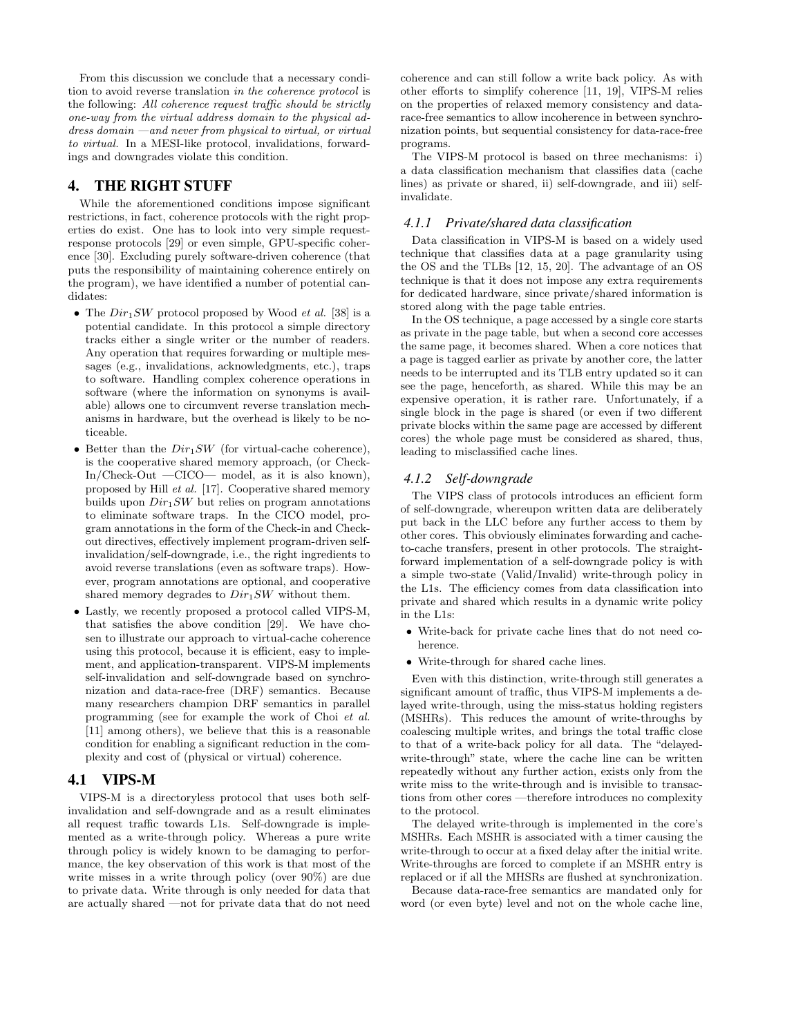From this discussion we conclude that a necessary condition to avoid reverse translation in the coherence protocol is the following: All coherence request traffic should be strictly one-way from the virtual address domain to the physical address domain —and never from physical to virtual, or virtual to virtual. In a MESI-like protocol, invalidations, forwardings and downgrades violate this condition.

# 4. THE RIGHT STUFF

While the aforementioned conditions impose significant restrictions, in fact, coherence protocols with the right properties do exist. One has to look into very simple requestresponse protocols [29] or even simple, GPU-specific coherence [30]. Excluding purely software-driven coherence (that puts the responsibility of maintaining coherence entirely on the program), we have identified a number of potential candidates:

- The  $Dir<sub>1</sub>SW$  protocol proposed by Wood *et al.* [38] is a potential candidate. In this protocol a simple directory tracks either a single writer or the number of readers. Any operation that requires forwarding or multiple messages (e.g., invalidations, acknowledgments, etc.), traps to software. Handling complex coherence operations in software (where the information on synonyms is available) allows one to circumvent reverse translation mechanisms in hardware, but the overhead is likely to be noticeable.
- Better than the  $Dir<sub>1</sub>SW$  (for virtual-cache coherence), is the cooperative shared memory approach, (or Check-In/Check-Out —CICO— model, as it is also known), proposed by Hill et al. [17]. Cooperative shared memory builds upon  $Dir<sub>1</sub>SW$  but relies on program annotations to eliminate software traps. In the CICO model, program annotations in the form of the Check-in and Checkout directives, effectively implement program-driven selfinvalidation/self-downgrade, i.e., the right ingredients to avoid reverse translations (even as software traps). However, program annotations are optional, and cooperative shared memory degrades to  $Dir<sub>1</sub>SW$  without them.
- Lastly, we recently proposed a protocol called VIPS-M, that satisfies the above condition [29]. We have chosen to illustrate our approach to virtual-cache coherence using this protocol, because it is efficient, easy to implement, and application-transparent. VIPS-M implements self-invalidation and self-downgrade based on synchronization and data-race-free (DRF) semantics. Because many researchers champion DRF semantics in parallel programming (see for example the work of Choi et al. [11] among others), we believe that this is a reasonable condition for enabling a significant reduction in the complexity and cost of (physical or virtual) coherence.

# 4.1 VIPS-M

VIPS-M is a directoryless protocol that uses both selfinvalidation and self-downgrade and as a result eliminates all request traffic towards L1s. Self-downgrade is implemented as a write-through policy. Whereas a pure write through policy is widely known to be damaging to performance, the key observation of this work is that most of the write misses in a write through policy (over 90%) are due to private data. Write through is only needed for data that are actually shared —not for private data that do not need coherence and can still follow a write back policy. As with other efforts to simplify coherence [11, 19], VIPS-M relies on the properties of relaxed memory consistency and datarace-free semantics to allow incoherence in between synchronization points, but sequential consistency for data-race-free programs.

The VIPS-M protocol is based on three mechanisms: i) a data classification mechanism that classifies data (cache lines) as private or shared, ii) self-downgrade, and iii) selfinvalidate.

### *4.1.1 Private/shared data classification*

Data classification in VIPS-M is based on a widely used technique that classifies data at a page granularity using the OS and the TLBs [12, 15, 20]. The advantage of an OS technique is that it does not impose any extra requirements for dedicated hardware, since private/shared information is stored along with the page table entries.

In the OS technique, a page accessed by a single core starts as private in the page table, but when a second core accesses the same page, it becomes shared. When a core notices that a page is tagged earlier as private by another core, the latter needs to be interrupted and its TLB entry updated so it can see the page, henceforth, as shared. While this may be an expensive operation, it is rather rare. Unfortunately, if a single block in the page is shared (or even if two different private blocks within the same page are accessed by different cores) the whole page must be considered as shared, thus, leading to misclassified cache lines.

#### *4.1.2 Self-downgrade*

The VIPS class of protocols introduces an efficient form of self-downgrade, whereupon written data are deliberately put back in the LLC before any further access to them by other cores. This obviously eliminates forwarding and cacheto-cache transfers, present in other protocols. The straightforward implementation of a self-downgrade policy is with a simple two-state (Valid/Invalid) write-through policy in the L1s. The efficiency comes from data classification into private and shared which results in a dynamic write policy in the L1s:

- Write-back for private cache lines that do not need coherence.
- Write-through for shared cache lines.

Even with this distinction, write-through still generates a significant amount of traffic, thus VIPS-M implements a delayed write-through, using the miss-status holding registers (MSHRs). This reduces the amount of write-throughs by coalescing multiple writes, and brings the total traffic close to that of a write-back policy for all data. The "delayedwrite-through" state, where the cache line can be written repeatedly without any further action, exists only from the write miss to the write-through and is invisible to transactions from other cores —therefore introduces no complexity to the protocol.

The delayed write-through is implemented in the core's MSHRs. Each MSHR is associated with a timer causing the write-through to occur at a fixed delay after the initial write. Write-throughs are forced to complete if an MSHR entry is replaced or if all the MHSRs are flushed at synchronization.

Because data-race-free semantics are mandated only for word (or even byte) level and not on the whole cache line,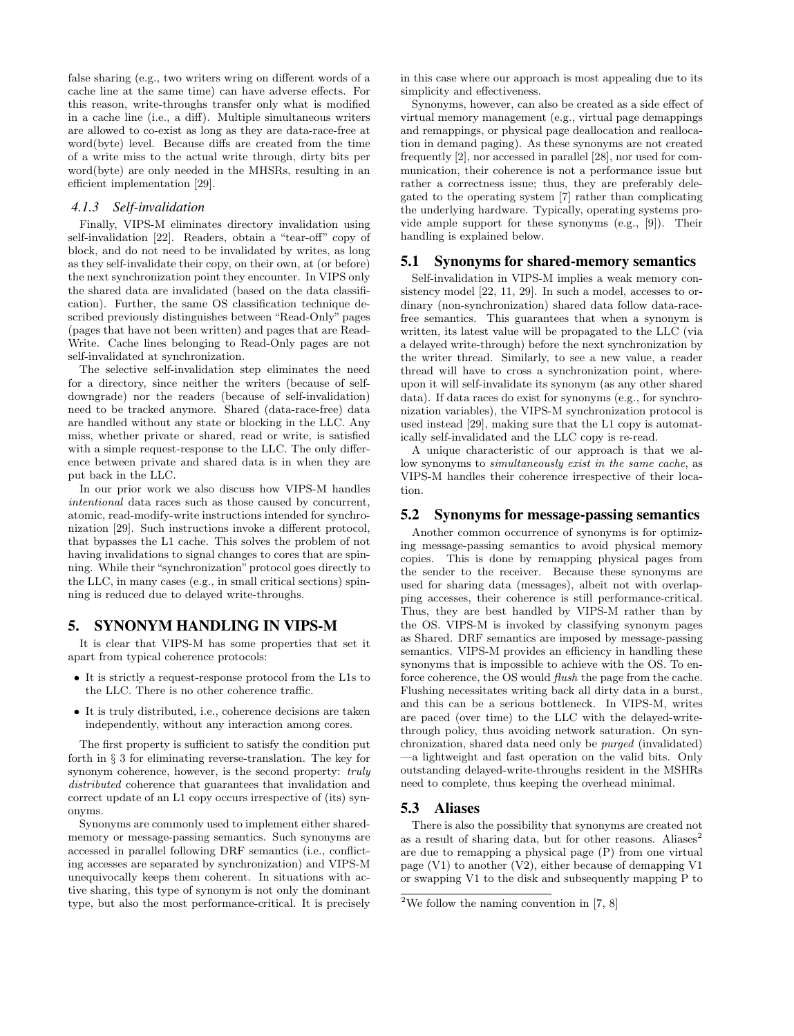false sharing (e.g., two writers wring on different words of a cache line at the same time) can have adverse effects. For this reason, write-throughs transfer only what is modified in a cache line (i.e., a diff). Multiple simultaneous writers are allowed to co-exist as long as they are data-race-free at word(byte) level. Because diffs are created from the time of a write miss to the actual write through, dirty bits per word(byte) are only needed in the MHSRs, resulting in an efficient implementation [29].

### *4.1.3 Self-invalidation*

Finally, VIPS-M eliminates directory invalidation using self-invalidation [22]. Readers, obtain a "tear-off" copy of block, and do not need to be invalidated by writes, as long as they self-invalidate their copy, on their own, at (or before) the next synchronization point they encounter. In VIPS only the shared data are invalidated (based on the data classification). Further, the same OS classification technique described previously distinguishes between "Read-Only" pages (pages that have not been written) and pages that are Read-Write. Cache lines belonging to Read-Only pages are not self-invalidated at synchronization.

The selective self-invalidation step eliminates the need for a directory, since neither the writers (because of selfdowngrade) nor the readers (because of self-invalidation) need to be tracked anymore. Shared (data-race-free) data are handled without any state or blocking in the LLC. Any miss, whether private or shared, read or write, is satisfied with a simple request-response to the LLC. The only difference between private and shared data is in when they are put back in the LLC.

In our prior work we also discuss how VIPS-M handles intentional data races such as those caused by concurrent, atomic, read-modify-write instructions intended for synchronization [29]. Such instructions invoke a different protocol, that bypasses the L1 cache. This solves the problem of not having invalidations to signal changes to cores that are spinning. While their "synchronization" protocol goes directly to the LLC, in many cases (e.g., in small critical sections) spinning is reduced due to delayed write-throughs.

# 5. SYNONYM HANDLING IN VIPS-M

It is clear that VIPS-M has some properties that set it apart from typical coherence protocols:

- It is strictly a request-response protocol from the L1s to the LLC. There is no other coherence traffic.
- It is truly distributed, i.e., coherence decisions are taken independently, without any interaction among cores.

The first property is sufficient to satisfy the condition put forth in § 3 for eliminating reverse-translation. The key for synonym coherence, however, is the second property: truly distributed coherence that guarantees that invalidation and correct update of an L1 copy occurs irrespective of (its) synonyms.

Synonyms are commonly used to implement either sharedmemory or message-passing semantics. Such synonyms are accessed in parallel following DRF semantics (i.e., conflicting accesses are separated by synchronization) and VIPS-M unequivocally keeps them coherent. In situations with active sharing, this type of synonym is not only the dominant type, but also the most performance-critical. It is precisely in this case where our approach is most appealing due to its simplicity and effectiveness.

Synonyms, however, can also be created as a side effect of virtual memory management (e.g., virtual page demappings and remappings, or physical page deallocation and reallocation in demand paging). As these synonyms are not created frequently [2], nor accessed in parallel [28], nor used for communication, their coherence is not a performance issue but rather a correctness issue; thus, they are preferably delegated to the operating system [7] rather than complicating the underlying hardware. Typically, operating systems provide ample support for these synonyms (e.g., [9]). Their handling is explained below.

### 5.1 Synonyms for shared-memory semantics

Self-invalidation in VIPS-M implies a weak memory consistency model [22, 11, 29]. In such a model, accesses to ordinary (non-synchronization) shared data follow data-racefree semantics. This guarantees that when a synonym is written, its latest value will be propagated to the LLC (via a delayed write-through) before the next synchronization by the writer thread. Similarly, to see a new value, a reader thread will have to cross a synchronization point, whereupon it will self-invalidate its synonym (as any other shared data). If data races do exist for synonyms (e.g., for synchronization variables), the VIPS-M synchronization protocol is used instead [29], making sure that the L1 copy is automatically self-invalidated and the LLC copy is re-read.

A unique characteristic of our approach is that we allow synonyms to simultaneously exist in the same cache, as VIPS-M handles their coherence irrespective of their location.

# 5.2 Synonyms for message-passing semantics

Another common occurrence of synonyms is for optimizing message-passing semantics to avoid physical memory copies. This is done by remapping physical pages from the sender to the receiver. Because these synonyms are used for sharing data (messages), albeit not with overlapping accesses, their coherence is still performance-critical. Thus, they are best handled by VIPS-M rather than by the OS. VIPS-M is invoked by classifying synonym pages as Shared. DRF semantics are imposed by message-passing semantics. VIPS-M provides an efficiency in handling these synonyms that is impossible to achieve with the OS. To enforce coherence, the OS would *flush* the page from the cache. Flushing necessitates writing back all dirty data in a burst, and this can be a serious bottleneck. In VIPS-M, writes are paced (over time) to the LLC with the delayed-writethrough policy, thus avoiding network saturation. On synchronization, shared data need only be purged (invalidated) —a lightweight and fast operation on the valid bits. Only outstanding delayed-write-throughs resident in the MSHRs need to complete, thus keeping the overhead minimal.

# 5.3 Aliases

There is also the possibility that synonyms are created not as a result of sharing data, but for other reasons. Aliases<sup>2</sup> are due to remapping a physical page (P) from one virtual page (V1) to another (V2), either because of demapping V1 or swapping V1 to the disk and subsequently mapping P to

<sup>&</sup>lt;sup>2</sup>We follow the naming convention in  $[7, 8]$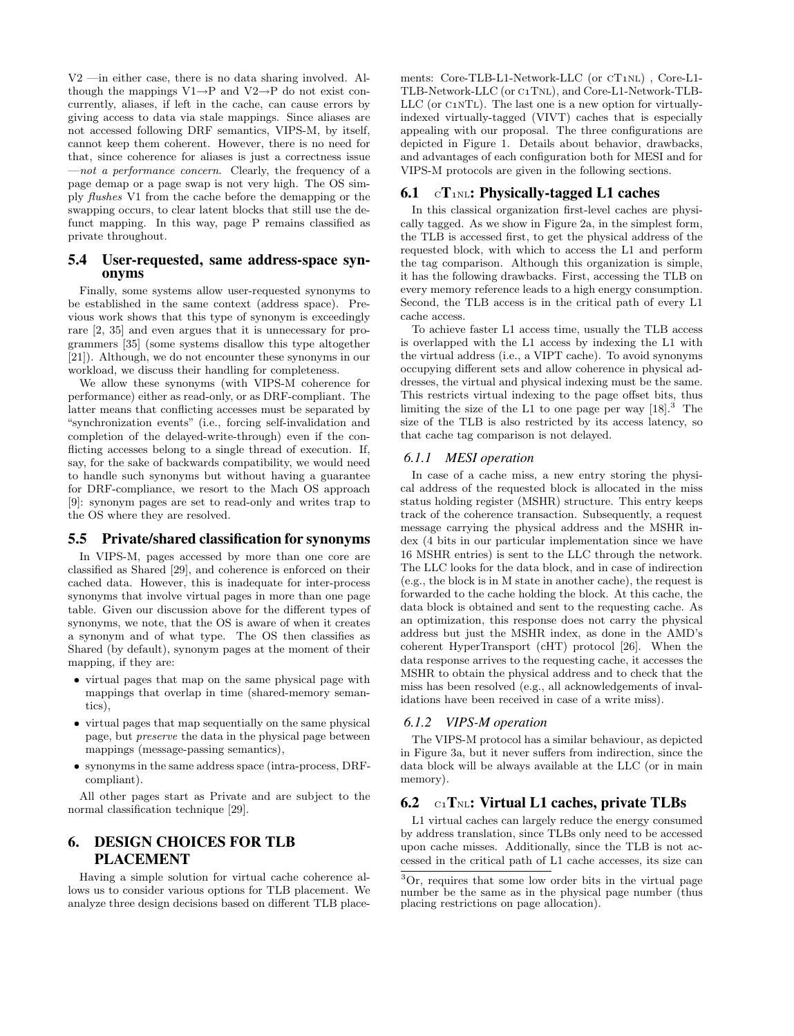V2 —in either case, there is no data sharing involved. Although the mappings  $V1\rightarrow P$  and  $V2\rightarrow P$  do not exist concurrently, aliases, if left in the cache, can cause errors by giving access to data via stale mappings. Since aliases are not accessed following DRF semantics, VIPS-M, by itself, cannot keep them coherent. However, there is no need for that, since coherence for aliases is just a correctness issue —not a performance concern. Clearly, the frequency of a page demap or a page swap is not very high. The OS simply flushes V1 from the cache before the demapping or the swapping occurs, to clear latent blocks that still use the defunct mapping. In this way, page P remains classified as private throughout.

### 5.4 User-requested, same address-space synonyms

Finally, some systems allow user-requested synonyms to be established in the same context (address space). Previous work shows that this type of synonym is exceedingly rare [2, 35] and even argues that it is unnecessary for programmers [35] (some systems disallow this type altogether [21]). Although, we do not encounter these synonyms in our workload, we discuss their handling for completeness.

We allow these synonyms (with VIPS-M coherence for performance) either as read-only, or as DRF-compliant. The latter means that conflicting accesses must be separated by "synchronization events" (i.e., forcing self-invalidation and completion of the delayed-write-through) even if the conflicting accesses belong to a single thread of execution. If, say, for the sake of backwards compatibility, we would need to handle such synonyms but without having a guarantee for DRF-compliance, we resort to the Mach OS approach [9]: synonym pages are set to read-only and writes trap to the OS where they are resolved.

### 5.5 Private/shared classification for synonyms

In VIPS-M, pages accessed by more than one core are classified as Shared [29], and coherence is enforced on their cached data. However, this is inadequate for inter-process synonyms that involve virtual pages in more than one page table. Given our discussion above for the different types of synonyms, we note, that the OS is aware of when it creates a synonym and of what type. The OS then classifies as Shared (by default), synonym pages at the moment of their mapping, if they are:

- virtual pages that map on the same physical page with mappings that overlap in time (shared-memory semantics),
- virtual pages that map sequentially on the same physical page, but preserve the data in the physical page between mappings (message-passing semantics),
- synonyms in the same address space (intra-process, DRFcompliant).

All other pages start as Private and are subject to the normal classification technique [29].

# 6. DESIGN CHOICES FOR TLB PLACEMENT

Having a simple solution for virtual cache coherence allows us to consider various options for TLB placement. We analyze three design decisions based on different TLB placements: Core-TLB-L1-Network-LLC (or CT1NL), Core-L1-TLB-Network-LLC (or  $C_1$ TNL), and Core-L1-Network-TLB-LLC (or  $C_1NT_L$ ). The last one is a new option for virtuallyindexed virtually-tagged (VIVT) caches that is especially appealing with our proposal. The three configurations are depicted in Figure 1. Details about behavior, drawbacks, and advantages of each configuration both for MESI and for VIPS-M protocols are given in the following sections.

# 6.1  $\,$  cT<sub>1NL</sub>: Physically-tagged L1 caches

In this classical organization first-level caches are physically tagged. As we show in Figure 2a, in the simplest form, the TLB is accessed first, to get the physical address of the requested block, with which to access the L1 and perform the tag comparison. Although this organization is simple, it has the following drawbacks. First, accessing the TLB on every memory reference leads to a high energy consumption. Second, the TLB access is in the critical path of every L1 cache access.

To achieve faster L1 access time, usually the TLB access is overlapped with the L1 access by indexing the L1 with the virtual address (i.e., a VIPT cache). To avoid synonyms occupying different sets and allow coherence in physical addresses, the virtual and physical indexing must be the same. This restricts virtual indexing to the page offset bits, thus limiting the size of the L1 to one page per way  $[18]$ <sup>3</sup>. The size of the TLB is also restricted by its access latency, so that cache tag comparison is not delayed.

### *6.1.1 MESI operation*

In case of a cache miss, a new entry storing the physical address of the requested block is allocated in the miss status holding register (MSHR) structure. This entry keeps track of the coherence transaction. Subsequently, a request message carrying the physical address and the MSHR index (4 bits in our particular implementation since we have 16 MSHR entries) is sent to the LLC through the network. The LLC looks for the data block, and in case of indirection (e.g., the block is in M state in another cache), the request is forwarded to the cache holding the block. At this cache, the data block is obtained and sent to the requesting cache. As an optimization, this response does not carry the physical address but just the MSHR index, as done in the AMD's coherent HyperTransport (cHT) protocol [26]. When the data response arrives to the requesting cache, it accesses the MSHR to obtain the physical address and to check that the miss has been resolved (e.g., all acknowledgements of invalidations have been received in case of a write miss).

### *6.1.2 VIPS-M operation*

The VIPS-M protocol has a similar behaviour, as depicted in Figure 3a, but it never suffers from indirection, since the data block will be always available at the LLC (or in main memory).

# 6.2  $C_1$ T<sub>NL</sub>: Virtual L1 caches, private TLBs

L1 virtual caches can largely reduce the energy consumed by address translation, since TLBs only need to be accessed upon cache misses. Additionally, since the TLB is not accessed in the critical path of L1 cache accesses, its size can

<sup>3</sup>Or, requires that some low order bits in the virtual page number be the same as in the physical page number (thus placing restrictions on page allocation).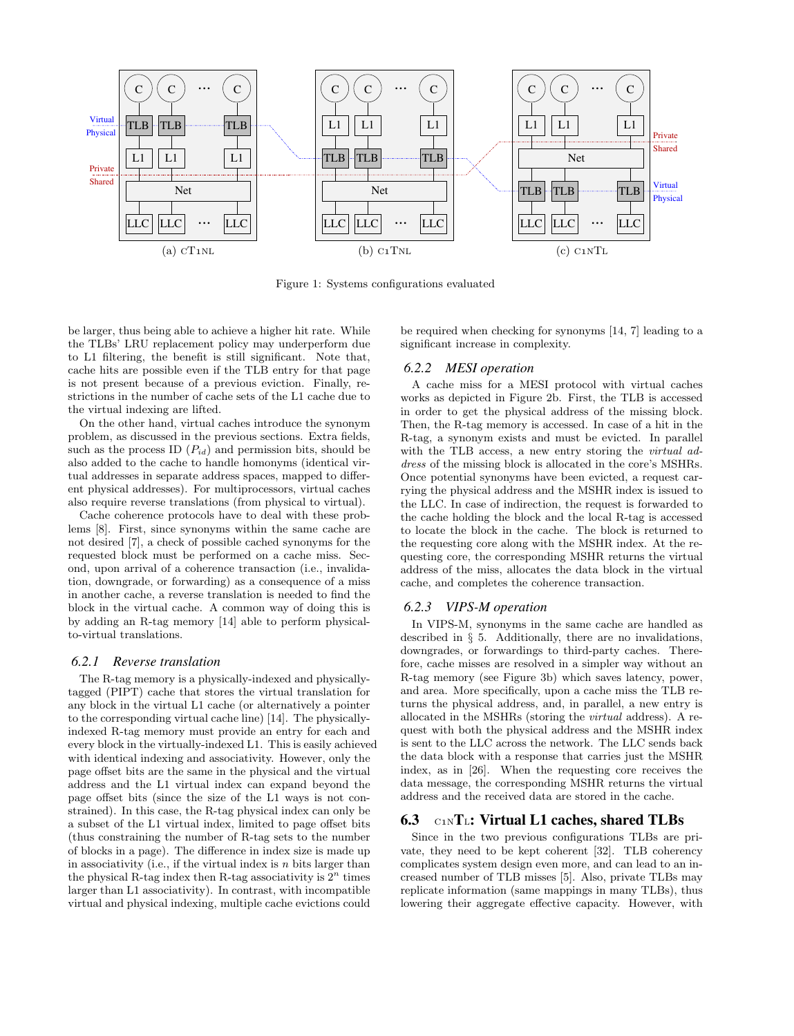

Figure 1: Systems configurations evaluated

be larger, thus being able to achieve a higher hit rate. While the TLBs' LRU replacement policy may underperform due to L1 filtering, the benefit is still significant. Note that, cache hits are possible even if the TLB entry for that page is not present because of a previous eviction. Finally, restrictions in the number of cache sets of the L1 cache due to the virtual indexing are lifted.

On the other hand, virtual caches introduce the synonym problem, as discussed in the previous sections. Extra fields, such as the process ID  $(P_{id})$  and permission bits, should be also added to the cache to handle homonyms (identical virtual addresses in separate address spaces, mapped to different physical addresses). For multiprocessors, virtual caches also require reverse translations (from physical to virtual).

Cache coherence protocols have to deal with these problems [8]. First, since synonyms within the same cache are not desired [7], a check of possible cached synonyms for the requested block must be performed on a cache miss. Second, upon arrival of a coherence transaction (i.e., invalidation, downgrade, or forwarding) as a consequence of a miss in another cache, a reverse translation is needed to find the block in the virtual cache. A common way of doing this is by adding an R-tag memory [14] able to perform physicalto-virtual translations.

#### *6.2.1 Reverse translation*

The R-tag memory is a physically-indexed and physicallytagged (PIPT) cache that stores the virtual translation for any block in the virtual L1 cache (or alternatively a pointer to the corresponding virtual cache line) [14]. The physicallyindexed R-tag memory must provide an entry for each and every block in the virtually-indexed L1. This is easily achieved with identical indexing and associativity. However, only the page offset bits are the same in the physical and the virtual address and the L1 virtual index can expand beyond the page offset bits (since the size of the L1 ways is not constrained). In this case, the R-tag physical index can only be a subset of the L1 virtual index, limited to page offset bits (thus constraining the number of R-tag sets to the number of blocks in a page). The difference in index size is made up in associativity (i.e., if the virtual index is  $n$  bits larger than the physical R-tag index then R-tag associativity is  $2^n$  times larger than L1 associativity). In contrast, with incompatible virtual and physical indexing, multiple cache evictions could

be required when checking for synonyms [14, 7] leading to a significant increase in complexity.

### *6.2.2 MESI operation*

A cache miss for a MESI protocol with virtual caches works as depicted in Figure 2b. First, the TLB is accessed in order to get the physical address of the missing block. Then, the R-tag memory is accessed. In case of a hit in the R-tag, a synonym exists and must be evicted. In parallel with the TLB access, a new entry storing the *virtual ad*dress of the missing block is allocated in the core's MSHRs. Once potential synonyms have been evicted, a request carrying the physical address and the MSHR index is issued to the LLC. In case of indirection, the request is forwarded to the cache holding the block and the local R-tag is accessed to locate the block in the cache. The block is returned to the requesting core along with the MSHR index. At the requesting core, the corresponding MSHR returns the virtual address of the miss, allocates the data block in the virtual cache, and completes the coherence transaction.

#### *6.2.3 VIPS-M operation*

In VIPS-M, synonyms in the same cache are handled as described in § 5. Additionally, there are no invalidations, downgrades, or forwardings to third-party caches. Therefore, cache misses are resolved in a simpler way without an R-tag memory (see Figure 3b) which saves latency, power, and area. More specifically, upon a cache miss the TLB returns the physical address, and, in parallel, a new entry is allocated in the MSHRs (storing the virtual address). A request with both the physical address and the MSHR index is sent to the LLC across the network. The LLC sends back the data block with a response that carries just the MSHR index, as in [26]. When the requesting core receives the data message, the corresponding MSHR returns the virtual address and the received data are stored in the cache.

# 6.3  $C_1NTL$ : Virtual L1 caches, shared TLBs

Since in the two previous configurations TLBs are private, they need to be kept coherent [32]. TLB coherency complicates system design even more, and can lead to an increased number of TLB misses [5]. Also, private TLBs may replicate information (same mappings in many TLBs), thus lowering their aggregate effective capacity. However, with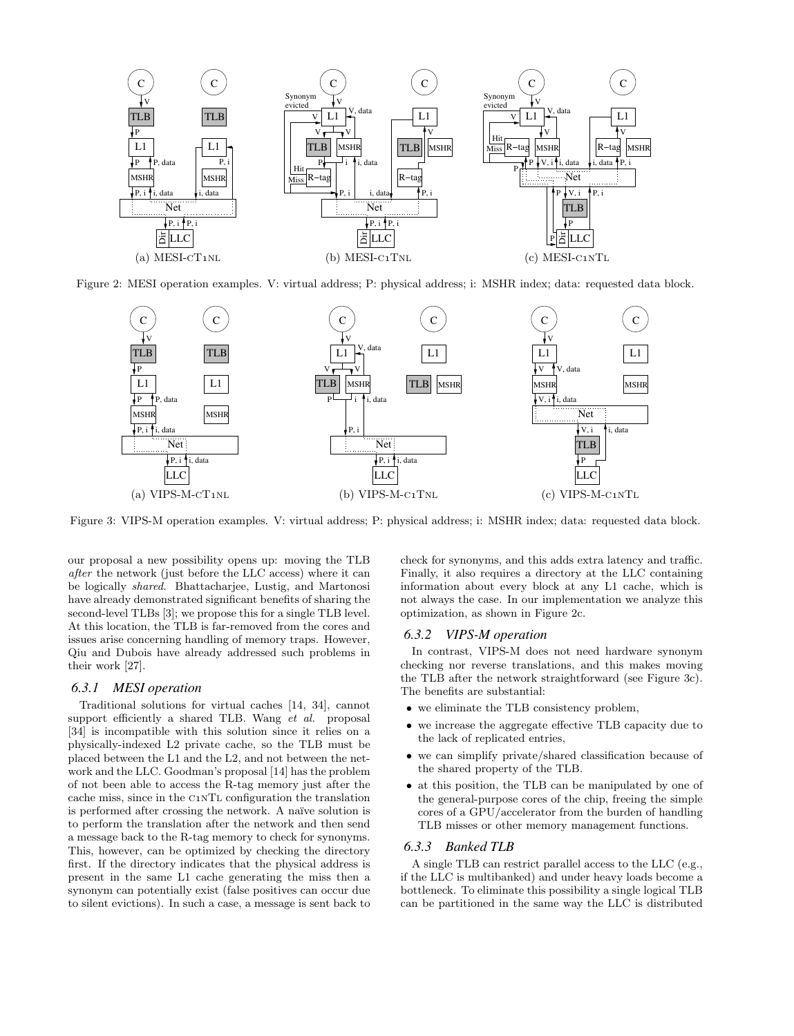

Figure 2: MESI operation examples. V: virtual address; P: physical address; i: MSHR index; data: requested data block.



Figure 3: VIPS-M operation examples. V: virtual address; P: physical address; i: MSHR index; data: requested data block.

our proposal a new possibility opens up: moving the TLB after the network (just before the LLC access) where it can be logically shared. Bhattacharjee, Lustig, and Martonosi have already demonstrated significant benefits of sharing the second-level TLBs [3]; we propose this for a single TLB level. At this location, the TLB is far-removed from the cores and issues arise concerning handling of memory traps. However, Qiu and Dubois have already addressed such problems in their work [27].

#### *6.3.1 MESI operation*

Traditional solutions for virtual caches [14, 34], cannot support efficiently a shared TLB. Wang et al. proposal [34] is incompatible with this solution since it relies on a physically-indexed L2 private cache, so the TLB must be placed between the L1 and the L2, and not between the network and the LLC. Goodman's proposal [14] has the problem of not been able to access the R-tag memory just after the  $\alpha$  cache miss, since in the C<sub>1</sub>NT<sub>L</sub> configuration the translation is performed after crossing the network. A naïve solution is to perform the translation after the network and then send a message back to the R-tag memory to check for synonyms. This, however, can be optimized by checking the directory first. If the directory indicates that the physical address is present in the same L1 cache generating the miss then a synonym can potentially exist (false positives can occur due to silent evictions). In such a case, a message is sent back to check for synonyms, and this adds extra latency and traffic. Finally, it also requires a directory at the LLC containing information about every block at any L1 cache, which is not always the case. In our implementation we analyze this optimization, as shown in Figure 2c.

#### *6.3.2 VIPS-M operation*

In contrast, VIPS-M does not need hardware synonym checking nor reverse translations, and this makes moving the TLB after the network straightforward (see Figure 3c). The benefits are substantial:

- we eliminate the TLB consistency problem,
- we increase the aggregate effective TLB capacity due to the lack of replicated entries,
- we can simplify private/shared classification because of the shared property of the TLB.
- at this position, the TLB can be manipulated by one of the general-purpose cores of the chip, freeing the simple cores of a GPU/accelerator from the burden of handling TLB misses or other memory management functions.

#### *6.3.3 Banked TLB*

A single TLB can restrict parallel access to the LLC (e.g., if the LLC is multibanked) and under heavy loads become a bottleneck. To eliminate this possibility a single logical TLB can be partitioned in the same way the LLC is distributed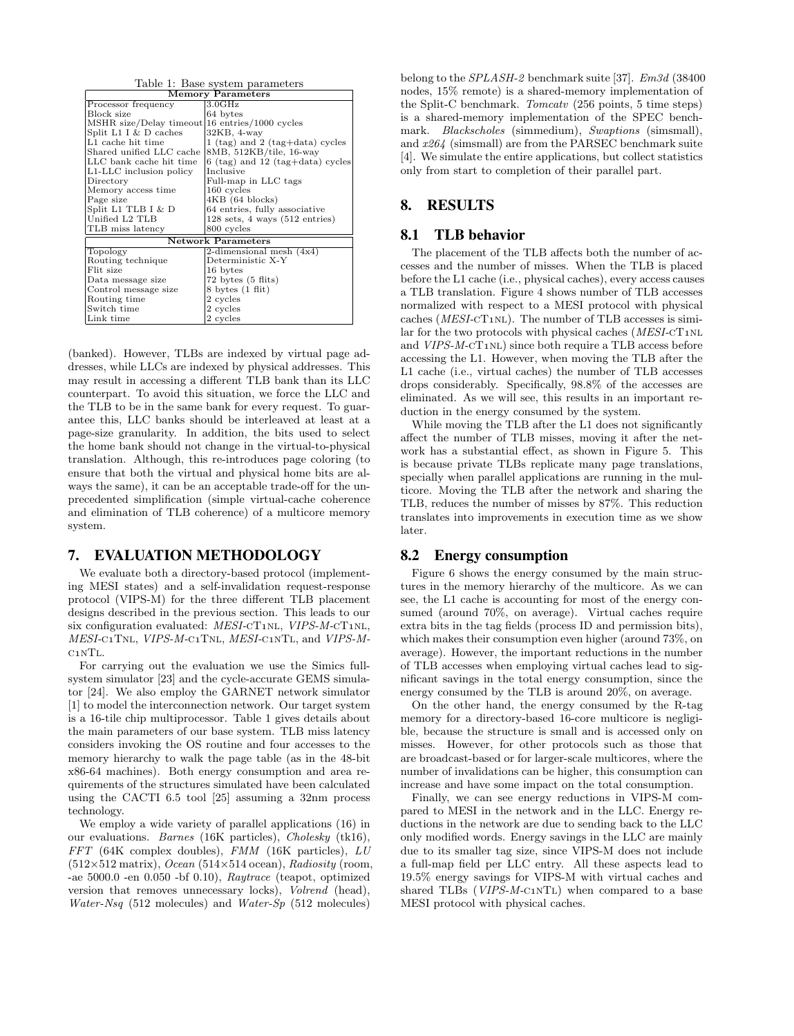| Table 1: Base system parameters                |                                            |  |  |  |  |  |  |
|------------------------------------------------|--------------------------------------------|--|--|--|--|--|--|
| <b>Memory Parameters</b>                       |                                            |  |  |  |  |  |  |
| Processor frequency                            | 3.0GHz                                     |  |  |  |  |  |  |
| Block size                                     | 64 bytes                                   |  |  |  |  |  |  |
| MSHR size/Delay timeout 16 entries/1000 cycles |                                            |  |  |  |  |  |  |
| Split L1 I & D caches                          | 32KB, 4-way                                |  |  |  |  |  |  |
| $L1$ cache hit time                            | $1$ (tag) and $2$ (tag+data) cycles        |  |  |  |  |  |  |
| Shared unified LLC cache                       | 8MB, 512KB/tile, 16-way                    |  |  |  |  |  |  |
| LLC bank cache hit time                        | $6$ (tag) and 12 (tag+data) cycles         |  |  |  |  |  |  |
| L1-LLC inclusion policy                        | Inclusive                                  |  |  |  |  |  |  |
| Directory                                      | Full-map in LLC tags                       |  |  |  |  |  |  |
| Memory access time                             | 160 cycles                                 |  |  |  |  |  |  |
| Page size                                      | $4KB$ (64 blocks)                          |  |  |  |  |  |  |
| Split L1 TLB I & D                             | 64 entries, fully associative              |  |  |  |  |  |  |
| Unified L2 TLB                                 | $128$ sets, 4 ways $(512 \text{ entries})$ |  |  |  |  |  |  |
| TLB miss latency                               | 800 cycles                                 |  |  |  |  |  |  |
| Network Parameters                             |                                            |  |  |  |  |  |  |
| Topology                                       | 2-dimensional mesh $(4x4)$                 |  |  |  |  |  |  |
| Routing technique                              | Deterministic X-Y                          |  |  |  |  |  |  |
| Flit size                                      | 16 bytes                                   |  |  |  |  |  |  |
| Data message size                              | 72 bytes (5 flits)                         |  |  |  |  |  |  |
| Control message size                           | $8 \text{ bytes } (1 \text{ fit})$         |  |  |  |  |  |  |
| Routing time                                   | 2 cycles                                   |  |  |  |  |  |  |
| Switch time                                    | 2 cycles                                   |  |  |  |  |  |  |
| Link time                                      | 2 cycles                                   |  |  |  |  |  |  |

(banked). However, TLBs are indexed by virtual page addresses, while LLCs are indexed by physical addresses. This may result in accessing a different TLB bank than its LLC counterpart. To avoid this situation, we force the LLC and the TLB to be in the same bank for every request. To guarantee this, LLC banks should be interleaved at least at a page-size granularity. In addition, the bits used to select the home bank should not change in the virtual-to-physical translation. Although, this re-introduces page coloring (to ensure that both the virtual and physical home bits are always the same), it can be an acceptable trade-off for the unprecedented simplification (simple virtual-cache coherence and elimination of TLB coherence) of a multicore memory system.

### 7. EVALUATION METHODOLOGY

Link time

We evaluate both a directory-based protocol (implementing MESI states) and a self-invalidation request-response protocol (VIPS-M) for the three different TLB placement designs described in the previous section. This leads to our six configuration evaluated:  $MESI\text{-}CT1NL$ ,  $VIPS\text{-}M\text{-}CT1NL$ , MESI-C1TNL, VIPS-M-C1TNL, MESI-C1NTL, and VIPS-M- $C1NTL$ 

For carrying out the evaluation we use the Simics fullsystem simulator [23] and the cycle-accurate GEMS simulator [24]. We also employ the GARNET network simulator [1] to model the interconnection network. Our target system is a 16-tile chip multiprocessor. Table 1 gives details about the main parameters of our base system. TLB miss latency considers invoking the OS routine and four accesses to the memory hierarchy to walk the page table (as in the 48-bit x86-64 machines). Both energy consumption and area requirements of the structures simulated have been calculated using the CACTI 6.5 tool [25] assuming a 32nm process technology.

We employ a wide variety of parallel applications (16) in our evaluations. Barnes (16K particles), Cholesky (tk16), FFT (64K complex doubles), FMM (16K particles), LU  $(512\times512 \text{ matrix})$ , Ocean  $(514\times514 \text{ ocean})$ , Radiosity (room, -ae 5000.0 -en 0.050 -bf 0.10), Raytrace (teapot, optimized version that removes unnecessary locks), Volrend (head), Water-Nsq (512 molecules) and Water-Sp (512 molecules)

belong to the SPLASH-2 benchmark suite [37]. Em3d (38400 nodes, 15% remote) is a shared-memory implementation of the Split-C benchmark. Tomcatv (256 points, 5 time steps) is a shared-memory implementation of the SPEC benchmark. Blackscholes (simmedium), Swaptions (simsmall), and x264 (simsmall) are from the PARSEC benchmark suite [4]. We simulate the entire applications, but collect statistics only from start to completion of their parallel part.

# 8. RESULTS

### 8.1 TLB behavior

The placement of the TLB affects both the number of accesses and the number of misses. When the TLB is placed before the L1 cache (i.e., physical caches), every access causes a TLB translation. Figure 4 shows number of TLB accesses normalized with respect to a MESI protocol with physical caches  $(MESI-CT1NL)$ . The number of TLB accesses is similar for the two protocols with physical caches  $(MESI-CT1NL)$ and  $VIPS-M-CT1NL$ ) since both require a TLB access before accessing the L1. However, when moving the TLB after the L1 cache (i.e., virtual caches) the number of TLB accesses drops considerably. Specifically, 98.8% of the accesses are eliminated. As we will see, this results in an important reduction in the energy consumed by the system.

While moving the TLB after the L1 does not significantly affect the number of TLB misses, moving it after the network has a substantial effect, as shown in Figure 5. This is because private TLBs replicate many page translations, specially when parallel applications are running in the multicore. Moving the TLB after the network and sharing the TLB, reduces the number of misses by 87%. This reduction translates into improvements in execution time as we show later.

### 8.2 Energy consumption

Figure 6 shows the energy consumed by the main structures in the memory hierarchy of the multicore. As we can see, the L1 cache is accounting for most of the energy consumed (around 70%, on average). Virtual caches require extra bits in the tag fields (process ID and permission bits), which makes their consumption even higher (around 73%, on average). However, the important reductions in the number of TLB accesses when employing virtual caches lead to significant savings in the total energy consumption, since the energy consumed by the TLB is around 20%, on average.

On the other hand, the energy consumed by the R-tag memory for a directory-based 16-core multicore is negligible, because the structure is small and is accessed only on misses. However, for other protocols such as those that are broadcast-based or for larger-scale multicores, where the number of invalidations can be higher, this consumption can increase and have some impact on the total consumption.

Finally, we can see energy reductions in VIPS-M compared to MESI in the network and in the LLC. Energy reductions in the network are due to sending back to the LLC only modified words. Energy savings in the LLC are mainly due to its smaller tag size, since VIPS-M does not include a full-map field per LLC entry. All these aspects lead to 19.5% energy savings for VIPS-M with virtual caches and shared TLBs  $(VIPS-M-C1NTL)$  when compared to a base MESI protocol with physical caches.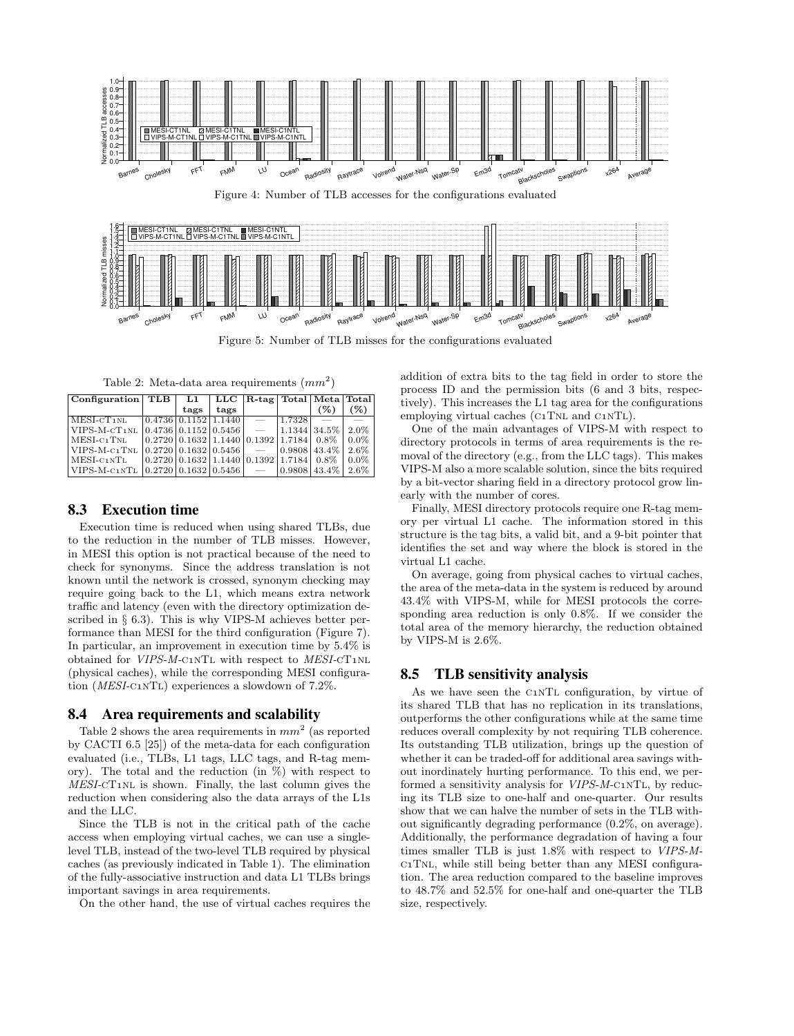

Table 2: Meta-data area requirements  $(mm^2)$ 

| $\lceil$ Configuration   TLB $\lceil$ L1 $\lceil$ LLC $\lceil$ R-tag   Total   Meta   Total |                                                       |               |                                                   |                          |                             |        |         |
|---------------------------------------------------------------------------------------------|-------------------------------------------------------|---------------|---------------------------------------------------|--------------------------|-----------------------------|--------|---------|
|                                                                                             |                                                       | $_{\rm tags}$ | $_{\rm tags}$                                     |                          |                             | $(\%)$ | (%)     |
| MESI-CT <sub>1NL</sub>                                                                      | $\left  0.4736 \right  0.1152 \left  1.1440 \right $  |               |                                                   | $\overline{\phantom{a}}$ | 1.7328                      |        |         |
| VIPS-M-CT1NL                                                                                | $\left[0.4736\right]0.1152\left[0.5456\right]$        |               |                                                   | $\overline{\phantom{a}}$ | $ 1.1344 34.5\% $           |        | 2.0%    |
| MESI-C1TNL                                                                                  | 0.2720   0.1632   1.1440   0.1392   1.7184   $~0.8\%$ |               |                                                   |                          |                             |        | $0.0\%$ |
| VIPS-M-C1TNL                                                                                | $\left[0.2720\right]0.1632\left[0.5456\right]$        |               |                                                   |                          | 0.9808 43.4%                |        | 2.6%    |
| MESI-C1NTL                                                                                  |                                                       |               | 0.2720   0.1632   1.1440   0.1392   1.7184   0.8% |                          |                             |        | $0.0\%$ |
| VIPS-M-c1NTL   0.2720   0.1632   0.5456                                                     |                                                       |               |                                                   |                          | $\left[0.9808\right]43.4\%$ |        | $2.6\%$ |

# 8.3 Execution time

Execution time is reduced when using shared TLBs, due to the reduction in the number of TLB misses. However, in MESI this option is not practical because of the need to check for synonyms. Since the address translation is not known until the network is crossed, synonym checking may require going back to the L1, which means extra network traffic and latency (even with the directory optimization described in § 6.3). This is why VIPS-M achieves better performance than MESI for the third configuration (Figure 7). In particular, an improvement in execution time by 5.4% is obtained for  $VIPS-M-C1NTL$  with respect to  $MESI-CT1NL$ (physical caches), while the corresponding MESI configuration  $(MESI\text{-C1NTL})$  experiences a slowdown of 7.2%.

# 8.4 Area requirements and scalability

Table 2 shows the area requirements in  $mm^2$  (as reported by CACTI 6.5 [25]) of the meta-data for each configuration evaluated (i.e., TLBs, L1 tags, LLC tags, and R-tag memory). The total and the reduction (in %) with respect to  $MESI$ -CT<sub>1</sub>NL is shown. Finally, the last column gives the reduction when considering also the data arrays of the L1s and the LLC.

Since the TLB is not in the critical path of the cache access when employing virtual caches, we can use a singlelevel TLB, instead of the two-level TLB required by physical caches (as previously indicated in Table 1). The elimination of the fully-associative instruction and data L1 TLBs brings important savings in area requirements.

On the other hand, the use of virtual caches requires the

addition of extra bits to the tag field in order to store the process ID and the permission bits (6 and 3 bits, respectively). This increases the L1 tag area for the configurations employing virtual caches (C1TNL and C1NTL).

One of the main advantages of VIPS-M with respect to directory protocols in terms of area requirements is the removal of the directory (e.g., from the LLC tags). This makes VIPS-M also a more scalable solution, since the bits required by a bit-vector sharing field in a directory protocol grow linearly with the number of cores.

Finally, MESI directory protocols require one R-tag memory per virtual L1 cache. The information stored in this structure is the tag bits, a valid bit, and a 9-bit pointer that identifies the set and way where the block is stored in the virtual L1 cache.

On average, going from physical caches to virtual caches, the area of the meta-data in the system is reduced by around 43.4% with VIPS-M, while for MESI protocols the corresponding area reduction is only 0.8%. If we consider the total area of the memory hierarchy, the reduction obtained by VIPS-M is 2.6%.

# 8.5 TLB sensitivity analysis

As we have seen the C1NTL configuration, by virtue of its shared TLB that has no replication in its translations, outperforms the other configurations while at the same time reduces overall complexity by not requiring TLB coherence. Its outstanding TLB utilization, brings up the question of whether it can be traded-off for additional area savings without inordinately hurting performance. To this end, we performed a sensitivity analysis for  $VIPS-M-C1NTL$ , by reducing its TLB size to one-half and one-quarter. Our results show that we can halve the number of sets in the TLB without significantly degrading performance (0.2%, on average). Additionally, the performance degradation of having a four times smaller TLB is just 1.8% with respect to VIPS-M- $C1$ <sub>TNL</sub>, while still being better than any MESI configuration. The area reduction compared to the baseline improves to 48.7% and 52.5% for one-half and one-quarter the TLB size, respectively.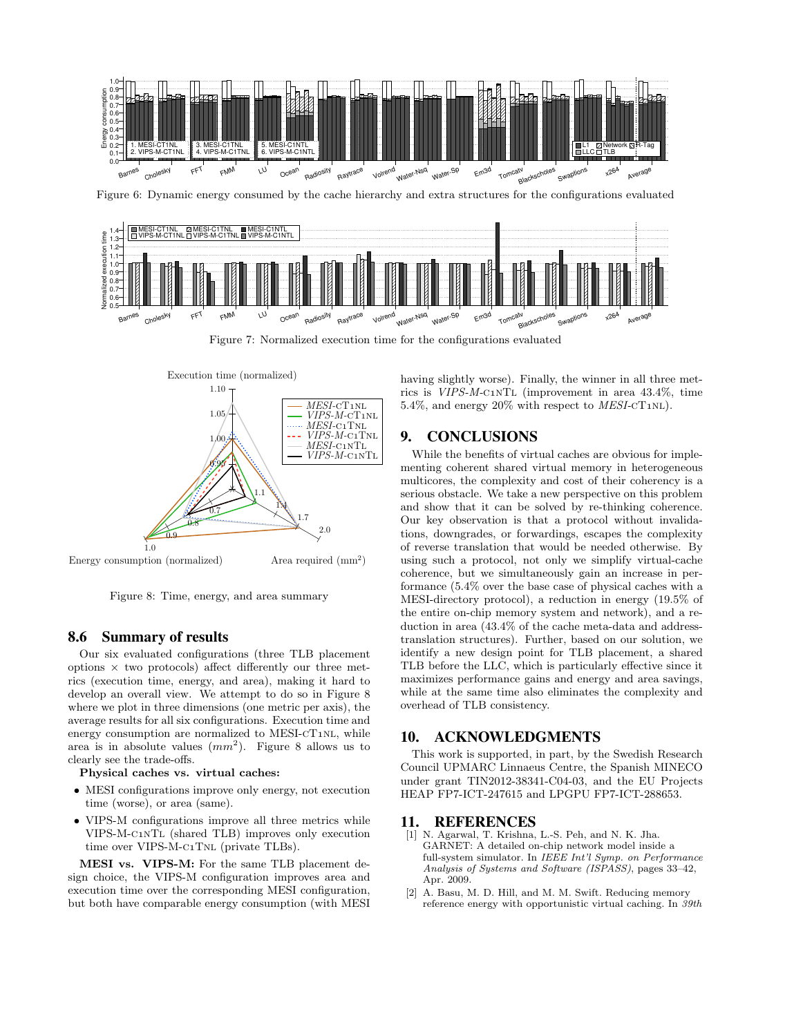

Figure 6: Dynamic energy consumed by the cache hierarchy and extra structures for the configurations evaluated



Figure 7: Normalized execution time for the configurations evaluated



Figure 8: Time, energy, and area summary

### 8.6 Summary of results

Our six evaluated configurations (three TLB placement options  $\times$  two protocols) affect differently our three metrics (execution time, energy, and area), making it hard to develop an overall view. We attempt to do so in Figure 8 where we plot in three dimensions (one metric per axis), the average results for all six configurations. Execution time and energy consumption are normalized to  $MESI-CT1NL$ , while area is in absolute values  $(mm^2)$ . Figure 8 allows us to clearly see the trade-offs.

Physical caches vs. virtual caches:

- MESI configurations improve only energy, not execution time (worse), or area (same).
- VIPS-M configurations improve all three metrics while VIPS-M-cnTl (shared TLB) improves only execution time over VIPS-M-C1TNL (private TLBs).

MESI vs. VIPS-M: For the same TLB placement design choice, the VIPS-M configuration improves area and execution time over the corresponding MESI configuration, but both have comparable energy consumption (with MESI having slightly worse). Finally, the winner in all three metrics is VIPS-M-cnTl (improvement in area 43.4%, time 5.4%, and energy 20% with respect to  $MESI\text{-}CT1NL$ ).

# 9. CONCLUSIONS

While the benefits of virtual caches are obvious for implementing coherent shared virtual memory in heterogeneous multicores, the complexity and cost of their coherency is a serious obstacle. We take a new perspective on this problem and show that it can be solved by re-thinking coherence. Our key observation is that a protocol without invalidations, downgrades, or forwardings, escapes the complexity of reverse translation that would be needed otherwise. By using such a protocol, not only we simplify virtual-cache coherence, but we simultaneously gain an increase in performance (5.4% over the base case of physical caches with a MESI-directory protocol), a reduction in energy (19.5% of the entire on-chip memory system and network), and a reduction in area (43.4% of the cache meta-data and addresstranslation structures). Further, based on our solution, we identify a new design point for TLB placement, a shared TLB before the LLC, which is particularly effective since it maximizes performance gains and energy and area savings, while at the same time also eliminates the complexity and overhead of TLB consistency.

### 10. ACKNOWLEDGMENTS

This work is supported, in part, by the Swedish Research Council UPMARC Linnaeus Centre, the Spanish MINECO under grant TIN2012-38341-C04-03, and the EU Projects HEAP FP7-ICT-247615 and LPGPU FP7-ICT-288653.

### 11. REFERENCES

- [1] N. Agarwal, T. Krishna, L.-S. Peh, and N. K. Jha. GARNET: A detailed on-chip network model inside a full-system simulator. In IEEE Int'l Symp. on Performance Analysis of Systems and Software (ISPASS), pages 33–42, Apr. 2009.
- [2] A. Basu, M. D. Hill, and M. M. Swift. Reducing memory reference energy with opportunistic virtual caching. In 39th